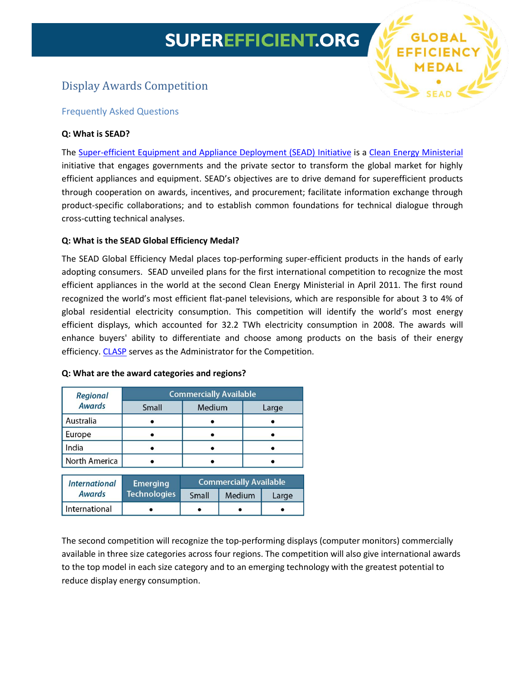# **SUPEREFFICIENT.ORG**

**EFFICIENC** 

# Display Awards Competition

# Frequently Asked Questions

# **Q: What is SEAD?**

The [Super-efficient Equipment and Appliance Deployment \(SEAD\) Initiative](http://www.superefficient.org/) is a [Clean Energy Ministerial](http://www.cleanenergyministerial.org/) initiative that engages governments and the private sector to transform the global market for highly efficient appliances and equipment. SEAD's objectives are to drive demand for superefficient products through cooperation on awards, incentives, and procurement; facilitate information exchange through product-specific collaborations; and to establish common foundations for technical dialogue through cross-cutting technical analyses.

# **Q: What is the SEAD Global Efficiency Medal?**

The SEAD Global Efficiency Medal places top-performing super-efficient products in the hands of early adopting consumers. SEAD unveiled plans for the first international competition to recognize the most efficient appliances in the world at the second Clean Energy Ministerial in April 2011. The first round recognized the world's most efficient flat-panel televisions, which are responsible for about 3 to 4% of global residential electricity consumption. This competition will identify the world's most energy efficient displays, which accounted for 32.2 TWh electricity consumption in 2008. The awards will enhance buyers' ability to differentiate and choose among products on the basis of their energy efficiency. [CLASP](http://www.clasponline.org/) serves as the Administrator for the Competition.

| Regional             | <b>Commercially Available</b> |                               |        |       |
|----------------------|-------------------------------|-------------------------------|--------|-------|
| <b>Awards</b>        | Small                         | Medium                        |        | Large |
| Australia            |                               |                               |        |       |
| Europe               |                               |                               |        |       |
| India                |                               |                               |        |       |
| North America        |                               |                               |        |       |
| <b>International</b> | <b>Emerging</b>               | <b>Commercially Available</b> |        |       |
| <b>Awards</b>        | <b>Technologies</b>           | Small                         | Medium | Large |
| International        |                               |                               |        |       |

#### **Q: What are the award categories and regions?**

The second competition will recognize the top-performing displays (computer monitors) commercially available in three size categories across four regions. The competition will also give international awards to the top model in each size category and to an emerging technology with the greatest potential to reduce display energy consumption.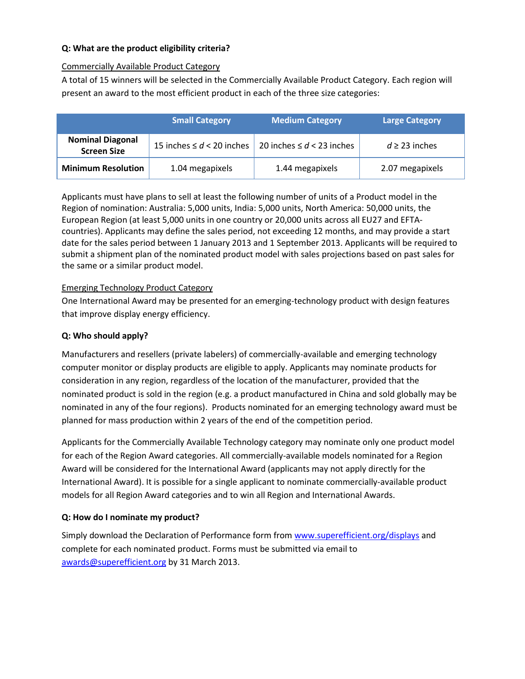# **Q: What are the product eligibility criteria?**

# Commercially Available Product Category

A total of 15 winners will be selected in the Commercially Available Product Category. Each region will present an award to the most efficient product in each of the three size categories:

|                                               | <b>Small Category</b>          | <b>Medium Category</b>         | <b>Large Category</b> |
|-----------------------------------------------|--------------------------------|--------------------------------|-----------------------|
| <b>Nominal Diagonal</b><br><b>Screen Size</b> | 15 inches $\leq d < 20$ inches | 20 inches $\leq d < 23$ inches | $d \geq 23$ inches    |
| <b>Minimum Resolution</b>                     | 1.04 megapixels                | 1.44 megapixels                | 2.07 megapixels       |

Applicants must have plans to sell at least the following number of units of a Product model in the Region of nomination: Australia: 5,000 units, India: 5,000 units, North America: 50,000 units, the European Region (at least 5,000 units in one country or 20,000 units across all EU27 and EFTAcountries). Applicants may define the sales period, not exceeding 12 months, and may provide a start date for the sales period between 1 January 2013 and 1 September 2013. Applicants will be required to submit a shipment plan of the nominated product model with sales projections based on past sales for the same or a similar product model.

# Emerging Technology Product Category

One International Award may be presented for an emerging-technology product with design features that improve display energy efficiency.

#### **Q: Who should apply?**

Manufacturers and resellers (private labelers) of commercially-available and emerging technology computer monitor or display products are eligible to apply. Applicants may nominate products for consideration in any region, regardless of the location of the manufacturer, provided that the nominated product is sold in the region (e.g. a product manufactured in China and sold globally may be nominated in any of the four regions). Products nominated for an emerging technology award must be planned for mass production within 2 years of the end of the competition period.

Applicants for the Commercially Available Technology category may nominate only one product model for each of the Region Award categories. All commercially-available models nominated for a Region Award will be considered for the International Award (applicants may not apply directly for the International Award). It is possible for a single applicant to nominate commercially-available product models for all Region Award categories and to win all Region and International Awards.

# **Q: How do I nominate my product?**

Simply download the Declaration of Performance form from [www.superefficient.org/displays](http://www.superefficient.org/displays) and complete for each nominated product. Forms must be submitted via email to [awards@superefficient.org](mailto:awards@superefficient.org) by 31 March 2013.